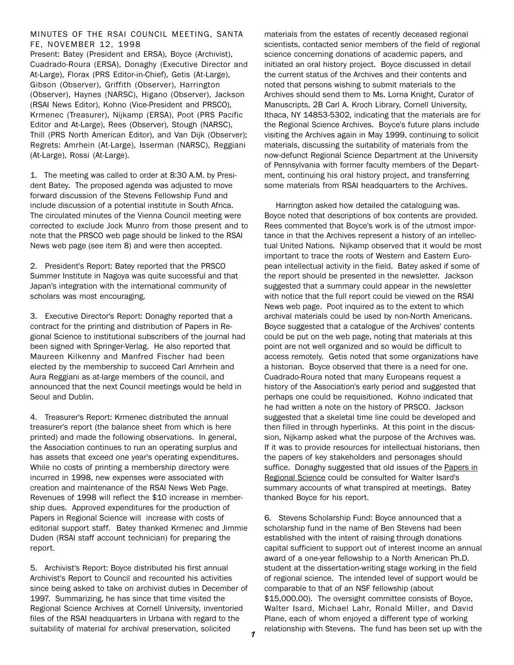## MINUTES OF THE RSAI COUNCIL MEETING, SANTA FE, NOVEMBER 12, 1998

Present: Batey (President and ERSA), Boyce (Archivist), Cuadrado-Roura (ERSA), Donaghy (Executive Director and At-Large), Florax (PRS Editor-in-Chief), Getis (At-Large), Gibson (Observer), Griffith (Observer), Harrington (Observer), Haynes (NARSC), Higano (Observer), Jackson (RSAI News Editor), Kohno (Vice-President and PRSCO), Krmenec (Treasurer), Nijkamp (ERSA), Poot (PRS Pacific Editor and At-Large), Rees (Observer), Stough (NARSC), Thill (PRS North American Editor), and Van Dijk (Observer); Regrets: Amrhein (At-Large), Isserman (NARSC), Reggiani (At-Large), Rossi (At-Large).

1. The meeting was called to order at 8:30 A.M. by President Batey. The proposed agenda was adjusted to move forward discussion of the Stevens Fellowship Fund and include discussion of a potential institute in South Africa. The circulated minutes of the Vienna Council meeting were corrected to exclude Jock Munro from those present and to note that the PRSCO web page should be linked to the RSAI News web page (see item 8) and were then accepted.

2. President's Report: Batey reported that the PRSCO Summer Institute in Nagoya was quite successful and that Japan's integration with the international community of scholars was most encouraging.

3. Executive Director's Report: Donaghy reported that a contract for the printing and distribution of Papers in Regional Science to institutional subscribers of the journal had been signed with Springer-Verlag. He also reported that Maureen Kilkenny and Manfred Fischer had been elected by the membership to succeed Carl Amrhein and Aura Reggiani as at-large members of the council, and announced that the next Council meetings would be held in Seoul and Dublin.

4. Treasurer's Report: Krmenec distributed the annual treasurer's report (the balance sheet from which is here printed) and made the following observations. In general, the Association continues to run an operating surplus and has assets that exceed one year's operating expenditures. While no costs of printing a membership directory were incurred in 1998, new expenses were associated with creation and maintenance of the RSAI News Web Page. Revenues of 1998 will reflect the \$10 increase in membership dues. Approved expenditures for the production of Papers in Regional Science will increase with costs of editorial support staff. Batey thanked Krmenec and Jimmie Duden (RSAI staff account technician) for preparing the report.

5. Archivist's Report: Boyce distributed his first annual Archivist's Report to Council and recounted his activities since being asked to take on archivist duties in December of 1997. Summarizing, he has since that time visited the Regional Science Archives at Cornell University, inventoried files of the RSAI headquarters in Urbana with regard to the suitability of material for archival preservation, solicited

materials from the estates of recently deceased regional scientists, contacted senior members of the field of regional science concerning donations of academic papers, and initiated an oral history project. Boyce discussed in detail the current status of the Archives and their contents and noted that persons wishing to submit materials to the Archives should send them to Ms. Lorna Knight, Curator of Manuscripts, 2B Carl A. Kroch Library, Cornell University, Ithaca, NY 14853-5302, indicating that the materials are for the Regional Science Archives. Boyce's future plans include visiting the Archives again in May 1999, continuing to solicit materials, discussing the suitability of materials from the now-defunct Regional Science Department at the University of Pennsylvania with former faculty members of the Department, continuing his oral history project, and transferring some materials from RSAI headquarters to the Archives.

 Harrington asked how detailed the cataloguing was. Boyce noted that descriptions of box contents are provided. Rees commented that Boyce's work is of the utmost importance in that the Archives represent a history of an intellectual United Nations. Nijkamp observed that it would be most important to trace the roots of Western and Eastern European intellectual activity in the field. Batey asked if some of the report should be presented in the newsletter. Jackson suggested that a summary could appear in the newsletter with notice that the full report could be viewed on the RSAI News web page. Poot inquired as to the extent to which archival materials could be used by non-North Americans. Boyce suggested that a catalogue of the Archives' contents could be put on the web page, noting that materials at this point are not well organized and so would be difficult to access remotely. Getis noted that some organizations have a historian. Boyce observed that there is a need for one. Cuadrado-Roura noted that many Europeans request a history of the Association's early period and suggested that perhaps one could be requisitioned. Kohno indicated that he had written a note on the history of PRSCO. Jackson suggested that a skeletal time line could be developed and then filled in through hyperlinks. At this point in the discussion, Nijkamp asked what the purpose of the Archives was. If it was to provide resources for intellectual historians, then the papers of key stakeholders and personages should suffice. Donaghy suggested that old issues of the Papers in Regional Science could be consulted for Walter Isard's summary accounts of what transpired at meetings. Batey thanked Boyce for his report.

6. Stevens Scholarship Fund: Boyce announced that a scholarship fund in the name of Ben Stevens had been established with the intent of raising through donations capital sufficient to support out of interest income an annual award of a one-year fellowship to a North American Ph.D. student at the dissertation-writing stage working in the field of regional science. The intended level of support would be comparable to that of an NSF fellowship (about \$15,000.00). The oversight committee consists of Boyce, Walter Isard, Michael Lahr, Ronald Miller, and David Plane, each of whom enjoyed a different type of working relationship with Stevens. The fund has been set up with the